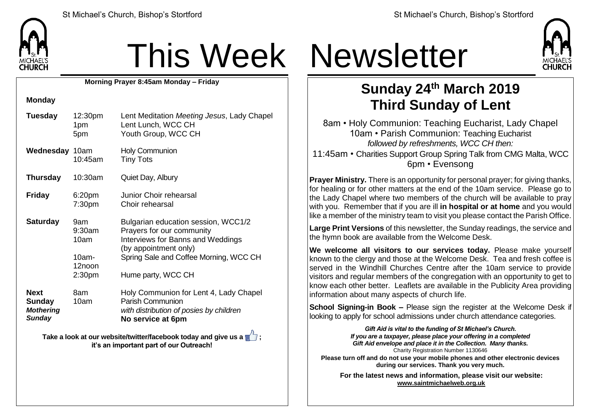

# This Week Newsletter

**Morning Prayer 8:45am Monday – Friday**

### **Monday**

| <b>Tuesday</b>                                             | 12:30pm<br>1pm<br>5pm                                             | Lent Meditation Meeting Jesus, Lady Chapel<br>Lent Lunch, WCC CH<br>Youth Group, WCC CH                                                                                                        |  |
|------------------------------------------------------------|-------------------------------------------------------------------|------------------------------------------------------------------------------------------------------------------------------------------------------------------------------------------------|--|
| <b>Wednesday 10am</b>                                      | 10:45am                                                           | <b>Holy Communion</b><br><b>Tiny Tots</b>                                                                                                                                                      |  |
| <b>Thursday</b>                                            | 10:30am                                                           | Quiet Day, Albury                                                                                                                                                                              |  |
| <b>Friday</b>                                              | 6:20 <sub>pm</sub><br>7:30pm                                      | Junior Choir rehearsal<br>Choir rehearsal                                                                                                                                                      |  |
| <b>Saturday</b>                                            | 9am<br>9:30am<br>10am<br>$10am -$<br>12noon<br>2:30 <sub>pm</sub> | Bulgarian education session, WCC1/2<br>Prayers for our community<br>Interviews for Banns and Weddings<br>(by appointment only)<br>Spring Sale and Coffee Morning, WCC CH<br>Hume party, WCC CH |  |
| <b>Next</b><br>Sunday<br><b>Mothering</b><br><b>Sunday</b> | 8am<br>10am                                                       | Holy Communion for Lent 4, Lady Chapel<br><b>Parish Communion</b><br>with distribution of posies by children<br>No service at 6pm                                                              |  |

**Take a look at our website/twitter/facebook today and give us a**  $\mathbb{Z}$ **; it's an important part of our Outreach!**



## **Sunday 24th March 2019 Third Sunday of Lent**

8am • Holy Communion: Teaching Eucharist, Lady Chapel 10am • Parish Communion: Teaching Eucharist *followed by refreshments, WCC CH then:* 11:45am • Charities Support Group Spring Talk from CMG Malta, WCC 6pm • Evensong

**Prayer Ministry.** There is an opportunity for personal prayer; for giving thanks, for healing or for other matters at the end of the 10am service. Please go to the Lady Chapel where two members of the church will be available to pray with you. Remember that if you are ill **in hospital or at home** and you would like a member of the ministry team to visit you please contact the Parish Office.

**Large Print Versions** of this newsletter, the Sunday readings, the service and the hymn book are available from the Welcome Desk.

**We welcome all visitors to our services today.** Please make yourself  $k$  known to the clergy and those at the Welcome Desk. Tea and fresh coffee is served in the Windhill Churches Centre after the 10am service to provide visitors and regular members of the congregation with an opportunity to get to know each other better. Leaflets are available in the Publicity Area providing information about many aspects of church life.

**School Signing-in Book –** Please sign the register at the Welcome Desk if looking to apply for school admissions under church attendance categories.

> *Gift Aid is vital to the funding of St Michael's Church. If you are a taxpayer, please place your offering in a completed Gift Aid envelope and place it in the Collection. Many thanks.* Charity Registration Number 1130646

**Please turn off and do not use your mobile phones and other electronic devices during our services. Thank you very much.**

**For the latest news and information, please visit our website: [www.saintmichaelweb.org.uk](http://www.saintmichaelweb.org.uk/)**